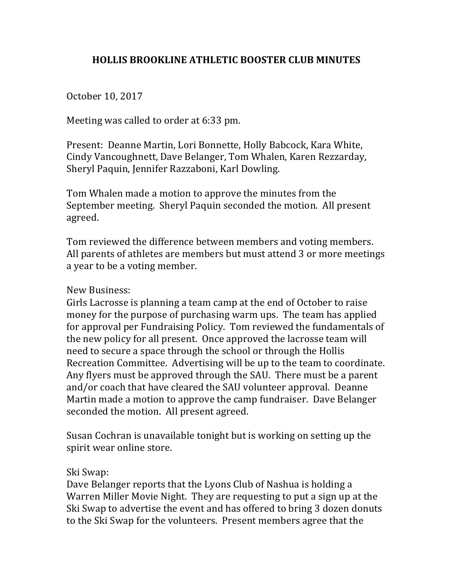## **HOLLIS BROOKLINE ATHLETIC BOOSTER CLUB MINUTES**

October 10, 2017

Meeting was called to order at 6:33 pm.

Present: Deanne Martin, Lori Bonnette, Holly Babcock, Kara White, Cindy Vancoughnett, Dave Belanger, Tom Whalen, Karen Rezzarday, Sheryl Paquin, Jennifer Razzaboni, Karl Dowling.

Tom Whalen made a motion to approve the minutes from the September meeting. Sheryl Paquin seconded the motion. All present agreed.

Tom reviewed the difference between members and voting members. All parents of athletes are members but must attend 3 or more meetings a year to be a voting member.

## New Business:

Girls Lacrosse is planning a team camp at the end of October to raise money for the purpose of purchasing warm ups. The team has applied for approval per Fundraising Policy. Tom reviewed the fundamentals of the new policy for all present. Once approved the lacrosse team will need to secure a space through the school or through the Hollis Recreation Committee. Advertising will be up to the team to coordinate. Any flyers must be approved through the SAU. There must be a parent and/or coach that have cleared the SAU volunteer approval. Deanne Martin made a motion to approve the camp fundraiser. Dave Belanger seconded the motion. All present agreed.

Susan Cochran is unavailable tonight but is working on setting up the spirit wear online store.

## Ski Swap:

Dave Belanger reports that the Lyons Club of Nashua is holding a Warren Miller Movie Night. They are requesting to put a sign up at the Ski Swap to advertise the event and has offered to bring 3 dozen donuts to the Ski Swap for the volunteers. Present members agree that the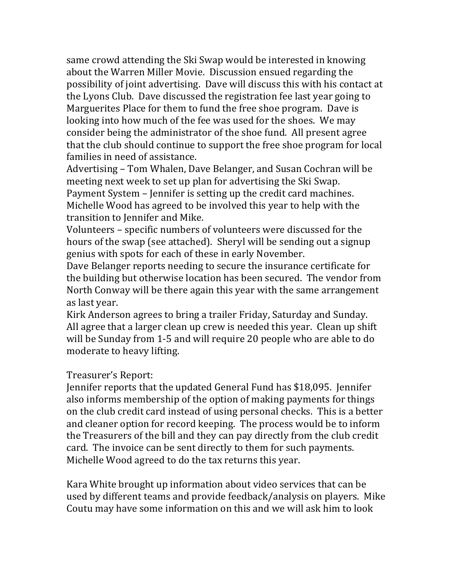same crowd attending the Ski Swap would be interested in knowing about the Warren Miller Movie. Discussion ensued regarding the possibility of joint advertising. Dave will discuss this with his contact at the Lyons Club. Dave discussed the registration fee last year going to Marguerites Place for them to fund the free shoe program. Dave is looking into how much of the fee was used for the shoes. We may consider being the administrator of the shoe fund. All present agree that the club should continue to support the free shoe program for local families in need of assistance.

Advertising – Tom Whalen, Dave Belanger, and Susan Cochran will be meeting next week to set up plan for advertising the Ski Swap. Payment System - Jennifer is setting up the credit card machines. Michelle Wood has agreed to be involved this year to help with the transition to Jennifer and Mike.

Volunteers - specific numbers of volunteers were discussed for the hours of the swap (see attached). Sheryl will be sending out a signup genius with spots for each of these in early November.

Dave Belanger reports needing to secure the insurance certificate for the building but otherwise location has been secured. The vendor from North Conway will be there again this year with the same arrangement as last year.

Kirk Anderson agrees to bring a trailer Friday, Saturday and Sunday. All agree that a larger clean up crew is needed this year. Clean up shift will be Sunday from 1-5 and will require 20 people who are able to do moderate to heavy lifting.

Treasurer's Report:

Jennifer reports that the updated General Fund has \$18,095. Jennifer also informs membership of the option of making payments for things on the club credit card instead of using personal checks. This is a better and cleaner option for record keeping. The process would be to inform the Treasurers of the bill and they can pay directly from the club credit card. The invoice can be sent directly to them for such payments. Michelle Wood agreed to do the tax returns this year.

Kara White brought up information about video services that can be used by different teams and provide feedback/analysis on players. Mike Coutu may have some information on this and we will ask him to look